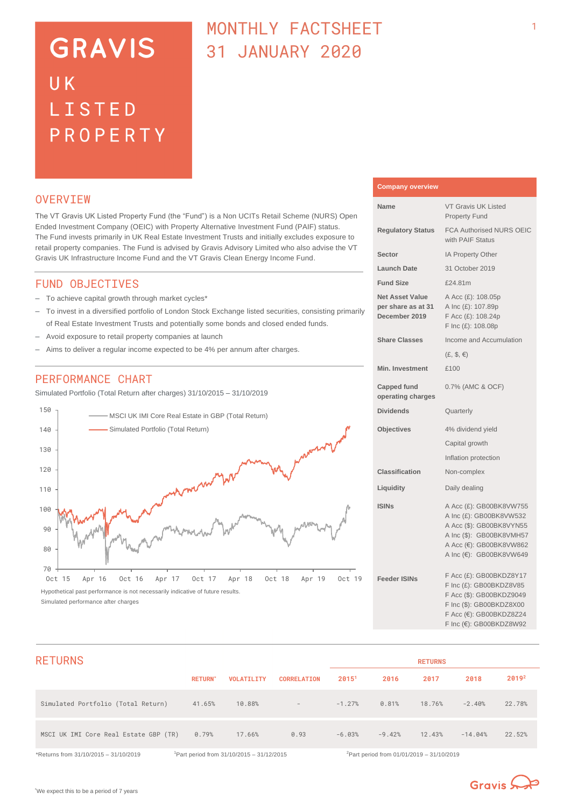# **GRAVIS** UK LISTED PROPERTY

# MONTHI Y FACTSHEET 31 JANUARY 2020

## **OVERVTEW**

The VT Gravis UK Listed Property Fund (the "Fund") is a Non UCITs Retail Scheme (NURS) Open Ended Investment Company (OEIC) with Property Alternative Investment Fund (PAIF) status. The Fund invests primarily in UK Real Estate Investment Trusts and initially excludes exposure to retail property companies. The Fund is advised by Gravis Advisory Limited who also advise the VT Gravis UK Infrastructure Income Fund and the VT Gravis Clean Energy Income Fund.

#### FUND OBJECTIVES

- To achieve capital growth through market cycles\*
- To invest in a diversified portfolio of London Stock Exchange listed securities, consisting primarily of Real Estate Investment Trusts and potentially some bonds and closed ended funds.
- Avoid exposure to retail property companies at launch
- Aims to deliver a regular income expected to be 4% per annum after charges.

# PERFORMANCE CHART

Simulated Portfolio (Total Return after charges) 31/10/2015 – 31/10/2019



# **Company overview**

| Name                                                          | <b>VT Gravis UK Listed</b><br><b>Property Fund</b>                                                                                                               |
|---------------------------------------------------------------|------------------------------------------------------------------------------------------------------------------------------------------------------------------|
| <b>Regulatory Status</b>                                      | <b>FCA Authorised NURS OEIC</b><br>with PAIF Status                                                                                                              |
| Sector                                                        | IA Property Other                                                                                                                                                |
| <b>Launch Date</b>                                            | 31 October 2019                                                                                                                                                  |
| <b>Fund Size</b>                                              | £24.81m                                                                                                                                                          |
| <b>Net Asset Value</b><br>per share as at 31<br>December 2019 | A Acc (£): 108.05p<br>A Inc (£): 107.89p<br>F Acc (£): 108.24p<br>F Inc (£): 108.08p                                                                             |
| <b>Share Classes</b>                                          | Income and Accumulation                                                                                                                                          |
|                                                               | $(E, \, \$, \in)$                                                                                                                                                |
| <b>Min. Investment</b>                                        | £100                                                                                                                                                             |
| <b>Capped fund</b><br>operating charges                       | 0.7% (AMC & OCF)                                                                                                                                                 |
| <b>Dividends</b>                                              | Quarterly                                                                                                                                                        |
| <b>Objectives</b>                                             | 4% dividend yield                                                                                                                                                |
|                                                               | Capital growth                                                                                                                                                   |
|                                                               | Inflation protection                                                                                                                                             |
| Classification                                                | Non-complex                                                                                                                                                      |
| Liquidity                                                     | Daily dealing                                                                                                                                                    |
| <b>ISINs</b>                                                  | A Acc (£): GB00BK8VW755<br>A Inc (£): GB00BK8VW532<br>A Acc (\$): GB00BK8VYN55<br>A Inc (\$): GB00BK8VMH57<br>A Acc (€): GB00BK8VW862<br>A Inc (€): GB00BK8VW649 |
| <b>Feeder ISINs</b>                                           | F Acc (£): GB00BKDZ8Y17<br>F Inc (£): GB00BKDZ8V85<br>F Acc (\$): GB00BKDZ9049<br>F Inc (\$): GB00BKDZ8X00<br>F Acc (€): GB00BKDZ8Z24<br>F Inc (€): GB00BKDZ8W92 |

| <b>RETURNS</b>                        |                |                                                       |                          |          |                                                       | <b>RETURNS</b> |           |                   |
|---------------------------------------|----------------|-------------------------------------------------------|--------------------------|----------|-------------------------------------------------------|----------------|-----------|-------------------|
|                                       | <b>RETURN*</b> | <b>VOLATILITY</b>                                     | <b>CORRELATION</b>       | 20151    | 2016                                                  | 2017           | 2018      | 2019 <sup>2</sup> |
| Simulated Portfolio (Total Return)    | 41.65%         | 10.88%                                                | $\overline{\phantom{a}}$ | $-1.27%$ | 0.81%                                                 | 18.76%         | $-2.40%$  | 22.78%            |
| MSCI UK IMI Core Real Estate GBP (TR) | 0.79%          | 17.66%                                                | 0.93                     | $-6.03%$ | $-9.42%$                                              | 12.43%         | $-14.04%$ | 22.52%            |
| *Returns from 31/10/2015 - 31/10/2019 |                | <sup>1</sup> Part period from 31/10/2015 - 31/12/2015 |                          |          | <sup>2</sup> Part period from 01/01/2019 - 31/10/2019 |                |           |                   |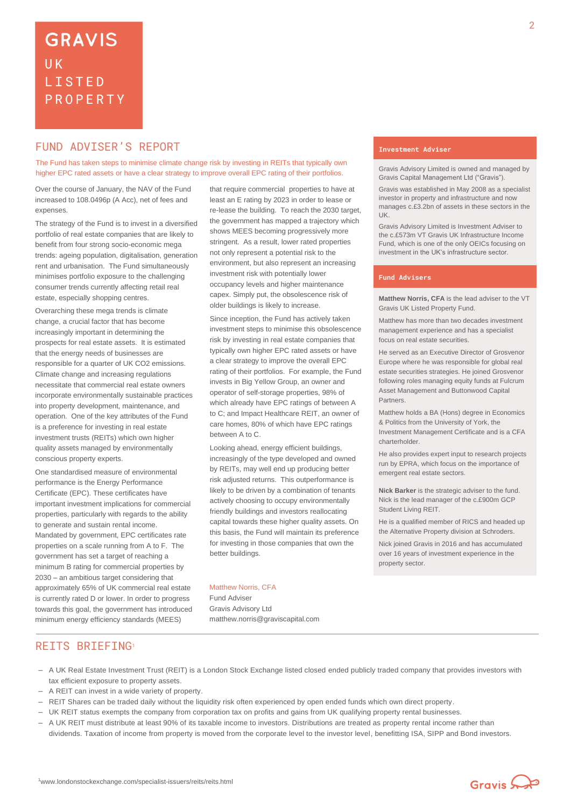# **FUND ADVISER'S REPORT THE EXAMPLE ADVISER'S**

The Fund has taken steps to minimise climate change risk by investing in REITs that typically own higher EPC rated assets or have a clear strategy to improve overall EPC rating of their portfolios.

Over the course of January, the NAV of the Fund increased to 108.0496p (A Acc), net of fees and expenses.

The strategy of the Fund is to invest in a diversified portfolio of real estate companies that are likely to benefit from four strong socio-economic mega trends: ageing population, digitalisation, generation rent and urbanisation. The Fund simultaneously minimises portfolio exposure to the challenging consumer trends currently affecting retail real estate, especially shopping centres.

Overarching these mega trends is climate change, a crucial factor that has become increasingly important in determining the prospects for real estate assets. It is estimated that the energy needs of businesses are responsible for a quarter of UK CO2 emissions. Climate change and increasing regulations necessitate that commercial real estate owners incorporate environmentally sustainable practices into property development, maintenance, and operation. One of the key attributes of the Fund is a preference for investing in real estate investment trusts (REITs) which own higher quality assets managed by environmentally conscious property experts.

One standardised measure of environmental performance is the Energy Performance Certificate (EPC). These certificates have important investment implications for commercial properties, particularly with regards to the ability to generate and sustain rental income. Mandated by government, EPC certificates rate properties on a scale running from A to F. The government has set a target of reaching a minimum B rating for commercial properties by 2030 – an ambitious target considering that approximately 65% of UK commercial real estate is currently rated D or lower. In order to progress towards this goal, the government has introduced minimum energy efficiency standards (MEES)

that require commercial properties to have at least an E rating by 2023 in order to lease or re-lease the building. To reach the 2030 target, the government has mapped a trajectory which shows MEES becoming progressively more stringent. As a result, lower rated properties not only represent a potential risk to the environment, but also represent an increasing investment risk with potentially lower occupancy levels and higher maintenance capex. Simply put, the obsolescence risk of older buildings is likely to increase.

Since inception, the Fund has actively taken investment steps to minimise this obsolescence risk by investing in real estate companies that typically own higher EPC rated assets or have a clear strategy to improve the overall EPC rating of their portfolios. For example, the Fund invests in Big Yellow Group, an owner and operator of self-storage properties, 98% of which already have EPC ratings of between A to C; and Impact Healthcare REIT, an owner of care homes, 80% of which have EPC ratings between A to C.

Looking ahead, energy efficient buildings, increasingly of the type developed and owned by REITs, may well end up producing better risk adjusted returns. This outperformance is likely to be driven by a combination of tenants actively choosing to occupy environmentally friendly buildings and investors reallocating capital towards these higher quality assets. On this basis, the Fund will maintain its preference for investing in those companies that own the better buildings.

#### Matthew Norris, CFA

Fund Adviser Gravis Advisory Ltd matthew.norris@graviscapital.com

Gravis Advisory Limited is owned and managed by Gravis Capital Management Ltd ("Gravis").

Gravis was established in May 2008 as a specialist investor in property and infrastructure and now manages c.£3.2bn of assets in these sectors in the UK.

Gravis Advisory Limited is Investment Adviser to the c.£573m VT Gravis UK Infrastructure Income Fund, which is one of the only OEICs focusing on investment in the UK's infrastructure sector.

#### **Fund Advisers**

**Matthew Norris, CFA** is the lead adviser to the VT Gravis UK Listed Property Fund.

Matthew has more than two decades investment management experience and has a specialist focus on real estate securities.

He served as an Executive Director of Grosvenor Europe where he was responsible for global real estate securities strategies. He joined Grosvenor following roles managing equity funds at Fulcrum Asset Management and Buttonwood Capital Partners.

Matthew holds a BA (Hons) degree in Economics & Politics from the University of York, the Investment Management Certificate and is a CFA charterholder.

He also provides expert input to research projects run by EPRA, which focus on the importance of emergent real estate sectors.

**Nick Barker** is the strategic adviser to the fund. Nick is the lead manager of the c.£900m GCP Student Living REIT.

He is a qualified member of RICS and headed up the Alternative Property division at Schroders.

Nick joined Gravis in 2016 and has accumulated over 16 years of investment experience in the property sector.

### REITS BRIEFING<sup>1</sup>

- A UK Real Estate Investment Trust (REIT) is a London Stock Exchange listed closed ended publicly traded company that provides investors with tax efficient exposure to property assets.
- A REIT can invest in a wide variety of property.
- REIT Shares can be traded daily without the liquidity risk often experienced by open ended funds which own direct property.
- UK REIT status exempts the company from corporation tax on profits and gains from UK qualifying property rental businesses.
- A UK REIT must distribute at least 90% of its taxable income to investors. Distributions are treated as property rental income rather than dividends. Taxation of income from property is moved from the corporate level to the investor level, benefitting ISA, SIPP and Bond investors.